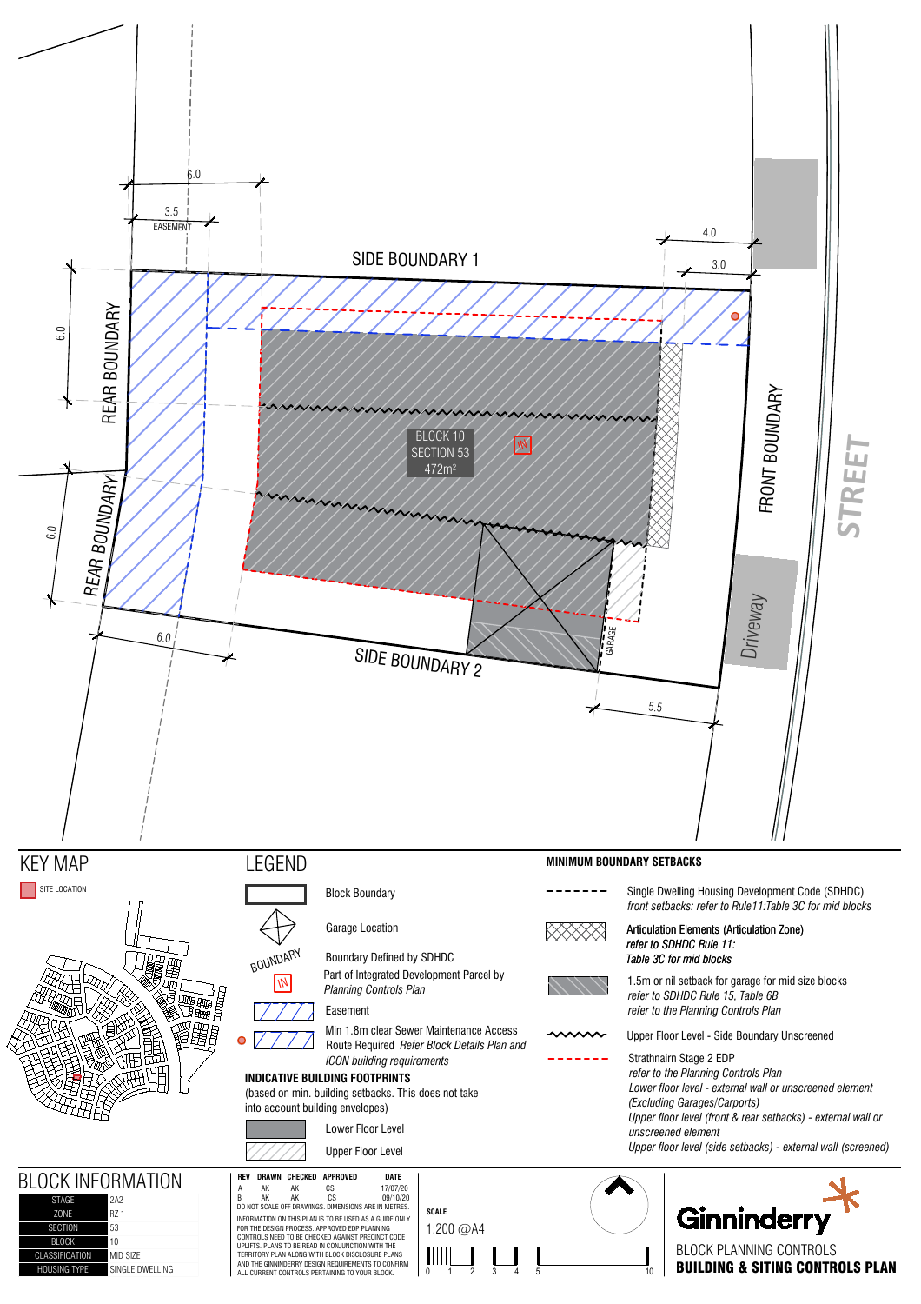